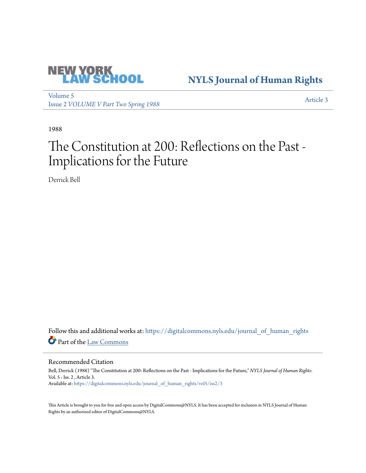

## **[NYLS Journal of Human Rights](https://digitalcommons.nyls.edu/journal_of_human_rights?utm_source=digitalcommons.nyls.edu%2Fjournal_of_human_rights%2Fvol5%2Fiss2%2F3&utm_medium=PDF&utm_campaign=PDFCoverPages)**

[Volume 5](https://digitalcommons.nyls.edu/journal_of_human_rights/vol5?utm_source=digitalcommons.nyls.edu%2Fjournal_of_human_rights%2Fvol5%2Fiss2%2F3&utm_medium=PDF&utm_campaign=PDFCoverPages) Issue 2 *[VOLUME V Part Two Spring 1988](https://digitalcommons.nyls.edu/journal_of_human_rights/vol5/iss2?utm_source=digitalcommons.nyls.edu%2Fjournal_of_human_rights%2Fvol5%2Fiss2%2F3&utm_medium=PDF&utm_campaign=PDFCoverPages)* [Article 3](https://digitalcommons.nyls.edu/journal_of_human_rights/vol5/iss2/3?utm_source=digitalcommons.nyls.edu%2Fjournal_of_human_rights%2Fvol5%2Fiss2%2F3&utm_medium=PDF&utm_campaign=PDFCoverPages)

1988

## The Constitution at 200: Reflections on the Past - Implications for the Future

Derrick Bell

Follow this and additional works at: [https://digitalcommons.nyls.edu/journal\\_of\\_human\\_rights](https://digitalcommons.nyls.edu/journal_of_human_rights?utm_source=digitalcommons.nyls.edu%2Fjournal_of_human_rights%2Fvol5%2Fiss2%2F3&utm_medium=PDF&utm_campaign=PDFCoverPages) Part of the [Law Commons](http://network.bepress.com/hgg/discipline/578?utm_source=digitalcommons.nyls.edu%2Fjournal_of_human_rights%2Fvol5%2Fiss2%2F3&utm_medium=PDF&utm_campaign=PDFCoverPages)

Recommended Citation

Bell, Derrick (1988) "The Constitution at 200: Reflections on the Past - Implications for the Future," *NYLS Journal of Human Rights*: Vol. 5 : Iss. 2 , Article 3. Available at: [https://digitalcommons.nyls.edu/journal\\_of\\_human\\_rights/vol5/iss2/3](https://digitalcommons.nyls.edu/journal_of_human_rights/vol5/iss2/3?utm_source=digitalcommons.nyls.edu%2Fjournal_of_human_rights%2Fvol5%2Fiss2%2F3&utm_medium=PDF&utm_campaign=PDFCoverPages)

This Article is brought to you for free and open access by DigitalCommons@NYLS. It has been accepted for inclusion in NYLS Journal of Human Rights by an authorized editor of DigitalCommons@NYLS.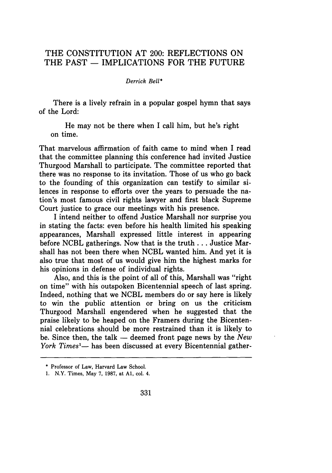## THE CONSTITUTION AT 200: REFLECTIONS ON THE PAST - IMPLICATIONS FOR THE FUTURE

## Derrick Bell\*

There is a lively refrain in a popular gospel hymn that says of the Lord:

He may not be there when I call him, but he's right on time.

That marvelous affirmation of faith came to mind when I read that the committee planning this conference had invited Justice Thurgood Marshall to participate. The committee reported that there was no response to its invitation. Those of us who go back to the founding of this organization can testify to similar silences in response to efforts over the years to persuade the nation's most famous civil rights lawyer and first black Supreme Court justice to grace our meetings with his presence.

I intend neither to offend Justice Marshall nor surprise you in stating the facts: even before his health limited his speaking appearances, Marshall expressed little interest in appearing before NCBL gatherings. Now that is the truth **...** Justice Marshall has not been there when NCBL wanted him. And yet it is also true that most of us would give him the highest marks for his opinions in defense of individual rights.

Also, and this is the point of all of this, Marshall was "right on time" with his outspoken Bicentennial speech of last spring. Indeed, nothing that we **NCBL** members do or say here is likely to win the public attention or bring on us the criticism Thurgood Marshall engendered when he suggested that the praise likely to be heaped on the Framers during the Bicentennial celebrations should be more restrained than it is likely to be. Since then, the talk - deemed front page news by the *New York Times<sup>1</sup>*— has been discussed at every Bicentennial gather-

**<sup>\*</sup>** Professor of Law, Harvard Law School.

**<sup>1.</sup>** N.Y. Times, May **7, 1987,** at **Al,** col. 4.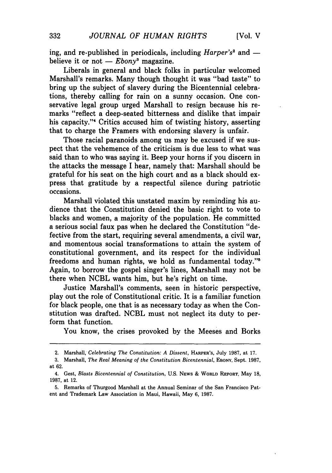ing, and re-published in periodicals, including *Harper's*<sup>2</sup> and believe it or not  $-E \to D \times n$ <sup>3</sup> magazine.

Liberals in general and black folks in particular welcomed Marshall's remarks. Many though thought it was "bad taste" to bring up the subject of slavery during the Bicentennial celebrations, thereby calling for rain on a sunny occasion. One conservative legal group urged Marshall to resign because his remarks "reflect a deep-seated bitterness and dislike that impair his capacity."<sup>4</sup> Critics accused him of twisting history, asserting that to charge the Framers with endorsing slavery is unfair.

Those racial paranoids among us may be excused if we suspect that the vehemence of the criticism is due less to what was said than to who was saying it. Beep your horns if you discern in the attacks the message I hear, namely that: Marshall should be grateful for his seat on the high court and as a black should express that gratitude by a respectful silence during patriotic occasions.

Marshall violated this unstated maxim by reminding his audience that the Constitution denied the basic right to vote to blacks and women, a majority of the population. He committed a serious social faux pas when he declared the Constitution "defective from the start, requiring several amendments, a civil war, and momentous social transformations to attain the system of constitutional government, and its respect for the individual freedoms and human rights, we hold as fundamental today."' Again, to borrow the gospel singer's lines, Marshall may not be there when NCBL wants him, but he's right on time.

Justice Marshall's comments, seen in historic perspective, play out the role of Constitutional critic. It is a familiar function for black people, one that is as necessary today as when the Constitution was drafted. NCBL must not neglect its duty to perform that function.

You know, the crises provoked by the Meeses and Borks

<sup>2.</sup> Marshall, *Celebrating The Constitution: A Dissent,* **HARPER'S,** July 1987, at 17.

<sup>3.</sup> Marshall, *The Real Meaning of the Constitution Bicentennial,* **EBONY,** Sept. 1987, at 62.

<sup>4.</sup> Gest, *Blasts Bicentennial of Constitution,* U.S. **NEWS** & **WORLD REPORT,** May **18,** 1987, at 12.

<sup>5.</sup> Remarks of Thurgood Marshall at the Annual Seminar of the San Francisco Patent and Trademark Law Association in Maui, Hawaii, May 6, 1987.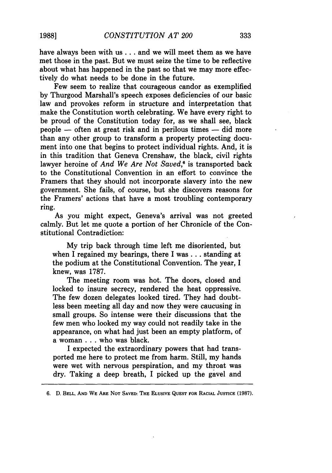have always been with us **...** and we will meet them as we have met those in the past. But we must seize the time to be reflective about what has happened in the past so that we may more effectively do what needs to be done in the future.

Few seem to realize that courageous candor as exemplified by Thurgood Marshall's speech exposes deficiencies of our basic law and provokes reform in structure and interpretation that make the Constitution worth celebrating. We have every right to be proud of the Constitution today for, as we shall see, black  $people$   $-$  often at great risk and in perilous times  $-$  did more than any other group to transform a property protecting document into one that begins to protect individual rights. And, it is in this tradition that Geneva Crenshaw, the black, civil rights lawyer heroine of *And We Are Not Saved*,<sup>6</sup> is transported back to the Constitutional Convention in an effort to convince the Framers that they should not incorporate slavery into the new government. She fails, of course, but she discovers reasons for the Framers' actions that have a most troubling contemporary ring.

As you might expect, Geneva's arrival was not greeted calmly. But let me quote a portion of her Chronicle of the Constitutional Contradiction:

My trip back through time left me disoriented, but when I regained my bearings, there I was **...** standing at the podium at the Constitutional Convention. The year, I knew, was 1787.

The meeting room was hot. The doors, closed and locked to insure secrecy, rendered the heat oppressive. The few dozen delegates looked tired. They had doubtless been meeting all day and now they were caucusing in small groups. So intense were their discussions that the few men who looked my way could not readily take in the appearance, on what had just been an empty platform, of a woman . . . who was black.

I expected the extraordinary powers that had transported me here to protect me from harm. Still, my hands were wet with nervous perspiration, and my throat was dry. Taking a deep breath, I picked up the gavel and

**<sup>6.</sup> D. BELL, AND** WE **ARE NOT SAVED: THE ELUSIVE QUEST FOR RACIAL JUSTICE (1987).**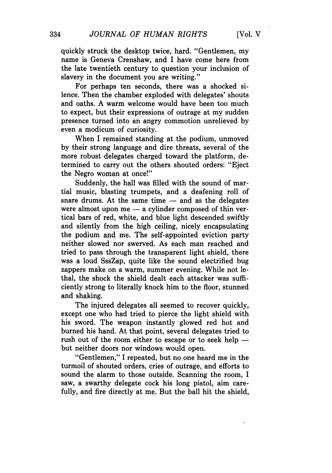quickly struck the desktop twice, hard. "Gentlemen, my name is Geneva Crenshaw, and I have come here from the late twentieth century to question your inclusion of slavery in the document you are writing."

For perhaps ten seconds, there was a shocked silence. Then the chamber exploded with delegates' shouts and oaths. A warm welcome would have been too much to expect, but their expressions of outrage at my sudden presence turned into an angry commotion unrelieved by even a modicum of curiosity.

When I remained standing at the podium, unmoved by their strong language and dire threats, several of the more robust delegates charged toward the platform, determined to carry out the others shouted orders: "Eject the Negro woman at once!"

Suddenly, the hall was filled with the sound of martial music, blasting trumpets, and a deafening roll of snare drums. At the same time  $-$  and as the delegates were almost upon  $me - a$  cylinder composed of thin vertical bars of red, white, and blue light descended swiftly and silently from the high ceiling, nicely encapsulating the podium and me. The self-appointed eviction party neither slowed nor swerved. As each man reached and tried to pass through the transparent light shield, there was a loud SssZap, quite like the sound electrified bug zappers make on a warm, summer evening. While not lethal, the shock the shield dealt each attacker was sufficiently strong to literally knock him to the floor, stunned and shaking.

The injured delegates all seemed to recover quickly, except one who had tried to pierce the light shield with his sword. The weapon instantly glowed red hot and burned his hand. At that point, several delegates tried to rush out of the room either to escape or to seek help  $$ but neither doors nor windows would open.

"Gentlemen," I repeated, but no one heard me in the turmoil of shouted orders, cries of outrage, and efforts to sound the alarm to those outside. Scanning the room, I saw, a swarthy delegate cock his long pistol, aim carefully, and fire directly at me. But the ball hit the shield,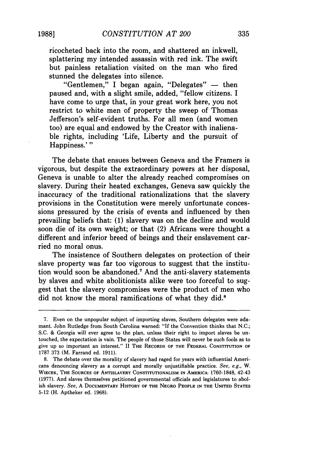ricocheted back into the room, and shattered an inkwell, splattering my intended assassin with red ink. The swift but painless retaliation visited on the man who fired stunned the delegates into silence.

"Gentlemen," I began again, "Delegates"  $-$  then paused and, with a slight smile, added, "fellow citizens. I have come to urge that, in your great work here, you not restrict to white men of property the sweep of Thomas Jefferson's self-evident truths. For all men (and women too) are equal and endowed by the Creator with inalienable rights, including 'Life, Liberty and the pursuit of Happiness.'"

The debate that ensues between Geneva and the Framers is vigorous, but despite the extraordinary powers at her disposal, Geneva is unable to alter the already reached compromises on slavery. During their heated exchanges, Geneva saw quickly the inaccuracy of the traditional rationalizations that the slavery provisions in the Constitution were merely unfortunate concessions pressured by the crisis of events and influenced by then prevailing beliefs that: (1) slavery was on the decline and would soon die of its own weight; or that (2) Africans were thought a different and inferior breed of beings and their enslavement carried no moral onus.

The insistence of Southern delegates on protection of their slave property was far too vigorous to suggest that the institution would soon be abandoned.' And the anti-slavery statements by slaves and white abolitionists alike were too forceful to suggest that the slavery compromises were the product of men who did not know the moral ramifications of what they did.<sup>8</sup>

<sup>7.</sup> Even on the unpopular subject of importing slaves, Southern delegates were adamant. John Rutledge from South Carolina warned: "If the Convention thinks that N.C.; S.C. & Georgia will ever agree to the plan, unless their right to import slaves be untouched, the expectation is vain. The people of those States will never be such fools as to give up so important an interest." II **THE** RECORDS OF **THE** FEDERAL **CONSTITUTION OF 1787 373** (M. Farrand ed. **1911).**

**<sup>8.</sup>** The debate over the morality of slavery had raged for years with influential Americans denouncing slavery as a corrupt and morally unjustifiable practice. *See, e.g., W.* **WIECEK, THE SOURCES** OF **ANTISLAVERY CONSTITUTIONALISM IN AMERICA:** 1760-1848, 42-43 (1977). And slaves themselves petitioned governmental officials and legislatures to abolish slavery. *See,* A **DOCUMENTARY** HISTORY OF **THE NEGRO** PEOPLE **IN THE UNITED STATES** 5-12 (H. Aptheker ed. **1968).**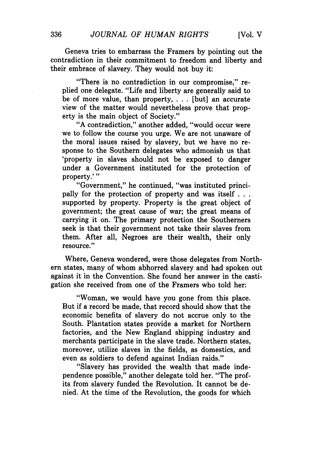Geneva tries to embarrass the Framers by pointing out the contradiction in their commitment to freedom and liberty and their embrace of slavery. They would not buy it:

"There is no contradiction in our compromise," replied one delegate. "Life and liberty are generally said to be of more value, than property, . . . [but] an accurate view of the matter would nevertheless prove that property is the main object of Society."

"A contradiction," another added, "would occur were we to follow the course you urge. We are not unaware of the moral issues raised by slavery, but we have no response to the Southern delegates who admonish us that 'property in slaves should not be exposed to danger under a Government instituted for the protection of property.'"

"Government," he continued, "was instituted principally for the protection of property and was itself **...** supported by property. Property is the great object of government; the great cause of war; the great means of carrying it on. The primary protection the Southerners seek is that their government not take their slaves from them. After all, Negroes are their wealth, their only resource."

Where, Geneva wondered, were those delegates from Northern states, many of whom abhorred slavery and had spoken out against it in the Convention. She found her answer in the castigation she received from one of the Framers who told her:

"Woman, we would have you gone from this place. But if a record be made, that record should show that the economic benefits of slavery do not accrue only to the South. Plantation states provide a market for Northern factories, and the New England shipping industry and merchants participate in the slave trade. Northern states, moreover, utilize slaves in the fields, as domestics, and even as soldiers to defend against Indian raids."

"Slavery has provided the wealth that made independence possible," another delegate told her. "The profits from slavery funded the Revolution. It cannot be denied. At the time of the Revolution, the goods for which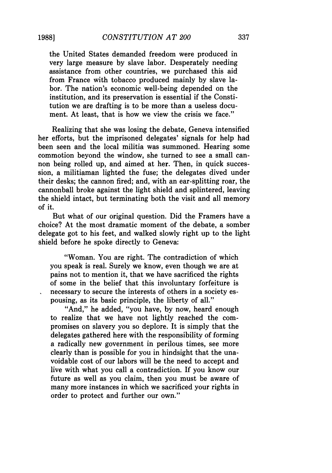the United States demanded freedom were produced in very large measure by slave labor. Desperately needing assistance from other countries, we purchased this aid from France with tobacco produced mainly by slave labor. The nation's economic well-being depended on the institution, and its preservation is essential if the Constitution we are drafting is to be more than a useless document. At least, that is how we view the crisis we face."

Realizing that she was losing the debate, Geneva intensified her efforts, but the imprisoned delegates' signals for help had been seen and the local militia was summoned. Hearing some commotion beyond the window, she turned to see a small cannon being rolled up, and aimed at her. Then, in quick succession, a militiaman lighted the fuse; the delegates dived under their desks; the cannon fired; and, with an ear-splitting roar, the cannonball broke against the light shield and splintered, leaving the shield intact, but terminating both the visit and all memory of it.

But what of our original question. Did the Framers have a choice? At the most dramatic moment of the debate, a somber delegate got to his feet, and walked slowly right up to the light shield before he spoke directly to Geneva:

"Woman. You are right. The contradiction of which you speak is real. Surely we know, even though we are at pains not to mention it, that we have sacrificed the rights of some in the belief that this involuntary forfeiture is necessary to secure the interests of others in a society espousing, as its basic principle, the liberty of all."

"And," he added, "you have, by now, heard enough to realize that we have not lightly reached the compromises on slavery you so deplore. It is simply that the delegates gathered here with the responsibility of forming a radically new government in perilous times, see more clearly than is possible for you in hindsight that the unavoidable cost of our labors will be the need to accept and live with what you call a contradiction. If you know our future as well as you claim, then you must be aware of many more instances in which we sacrificed your rights in order to protect and further our own."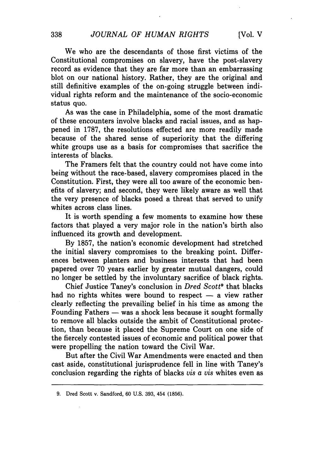We who are the descendants of those first victims of the Constitutional compromises on slavery, have the post-slavery record as evidence that they are far more than an embarrassing blot on our national history. Rather, they are the original and still definitive examples of the on-going struggle between individual rights reform and the maintenance of the socio-economic status quo.

As was the case in Philadelphia, some of the most dramatic of these encounters involve blacks and racial issues, and as happened in 1787, the resolutions effected are more readily made because of the shared sense of superiority that the differing white groups use as a basis for compromises that sacrifice the interests of blacks.

The Framers felt that the country could not have come into being without the race-based, slavery compromises placed in the Constitution. First, they were all too aware of the economic benefits of slavery; and second, they were likely aware as well that the very presence of blacks posed a threat that served to unify whites across class lines.

It is worth spending a few moments to examine how these factors that played a very major role in the nation's birth also influenced its growth and development.

By 1857, the nation's economic development had stretched the initial slavery compromises to the breaking point. Differences between planters and business interests that had been papered over 70 years earlier by greater mutual dangers, could no longer be settled by the involuntary sacrifice of black rights.

Chief Justice Taney's conclusion in *Dred Scott9* that blacks had no rights whites were bound to respect  $-$  a view rather clearly reflecting the prevailing belief in his time as among the Founding Fathers  $-$  was a shock less because it sought formally to remove all blacks outside the ambit of Constitutional protection, than because it placed the Supreme Court on one side of the fiercely contested issues of economic and political power that were propelling the nation toward the Civil War.

But after the Civil War Amendments were enacted and then cast aside, constitutional jurisprudence fell in line with Taney's conclusion regarding the rights of blacks *vis a vis* whites even as

<sup>9.</sup> Dred Scott v. Sandford, 60 U.S. 393, 454 (1856).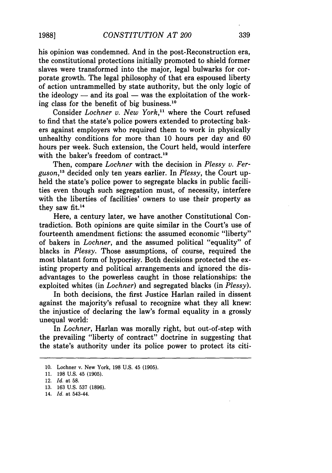his opinion was condemned. And in the post-Reconstruction era, the constitutional protections initially promoted to shield former slaves were transformed into the major, legal bulwarks for corporate growth. The legal philosophy of that era espoused liberty of action untrammelled by state authority, but the only logic of the ideology  $-$  and its goal  $-$  was the exploitation of the working class for the benefit of big business. <sup>10</sup>

Consider *Lochner v. New York,"* where the Court refused to find that the state's police powers extended to protecting bakers against employers who required them to work in physically unhealthy conditions for more than 10 hours per day and 60 hours per week. Such extension, the Court held, would interfere with the baker's freedom of contract.<sup>12</sup>

Then, compare *Lochner* with the decision in *Plessy v. Ferguson,"* decided only ten years earlier. In *Plessy,* the Court upheld the state's police power to segregate blacks in public facilities even though such segregation must, of necessity, interfere with the liberties of facilities' owners to use their property as they saw  $fit.^{14}$ 

Here, a century later, we have another Constitutional Contradiction. Both opinions are quite similar in the Court's use of fourteenth amendment fictions: the assumed economic "liberty" of bakers in *Lochner,* and the assumed political "equality" of blacks in *Plessy.* Those assumptions, of course, required the most blatant form of hypocrisy. Both decisions protected the existing property and political arrangements and ignored the disadvantages to the powerless caught in those relationships: the exploited whites (in *Lochner)* and segregated blacks (in *Plessy).*

In both decisions, the first Justice Harlan railed in dissent against the majority's refusal to recognize what they all knew: the injustice of declaring the law's formal equality in a grossly unequal world:

In *Lochner,* Harlan was morally right, but out-of-step with the prevailing "liberty of contract" doctrine in suggesting that the state's authority under its police power to protect its citi-

**1988]**

<sup>10.</sup> Lochner v. New York, 198 U.S. 45 (1905).

<sup>11. 198</sup> U.S. 45 (1905).

<sup>12.</sup> *Id.* at 58.

<sup>13. 163</sup> U.S. 537 (1896).

<sup>14.</sup> *Id.* at 543-44.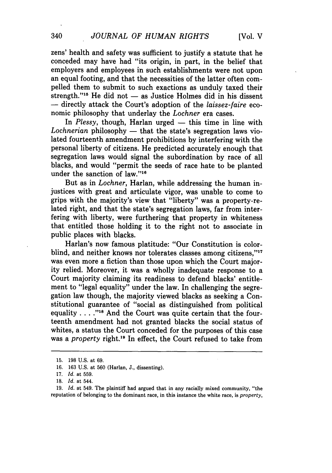zens' health and safety was sufficient to justify a statute that he conceded may have had "its origin, in part, in the belief that employers and employees in such establishments were not upon an equal footing, and that the necessities of the latter often compelled them to submit to such exactions as unduly taxed their strength."<sup>15</sup> He did not — as Justice Holmes did in his dissent — directly attack the Court's adoption of the *laissez-faire* economic philosophy that underlay the *Lochner* era cases.

In *Plessy*, though, Harlan urged — this time in line with Lochnerian philosophy — that the state's segregation laws violated fourteenth amendment prohibitions by interfering with the personal liberty of citizens. He predicted accurately enough that segregation laws would signal the subordination by race of all blacks, and would "permit the seeds of race hate to be planted under the sanction of law."<sup>1</sup>

But as in *Lochner,* Harlan, while addressing the human injustices with great and articulate vigor, was unable to come to grips with the majority's view that "liberty" was a property-related right, and that the state's segregation laws, far from interfering with liberty, were furthering that property in whiteness that entitled those holding it to the right not to associate in public places with blacks.

Harlan's now famous platitude: "Our Constitution is colorblind, and neither knows nor tolerates classes among citizens."<sup>17</sup> was even more a fiction than those upon which the Court majority relied. Moreover, it was a wholly inadequate response to a Court majority claiming its readiness to defend blacks' entitlement to "legal equality" under the law. In challenging the segregation law though, the majority viewed blacks as seeking a Constitutional guarantee of "social as distinguished from political equality **.... ."Is** And the Court was quite certain that the fourteenth amendment had not granted blacks the social status of whites, a status the Court conceded for the purposes of this case was a *property* right.19 In effect, the Court refused to take from

<sup>15. 198</sup> U.S. at 69.

<sup>16. 163</sup> U.S. at 560 (Harlan, J., dissenting).

<sup>17.</sup> *Id.* at 559.

<sup>18.</sup> *Id.* at 544.

<sup>19.</sup> *Id.* at 549. The plaintiff had argued that in any racially mixed community, "the reputation of belonging to the dominant race, in this instance the white race, is *property,*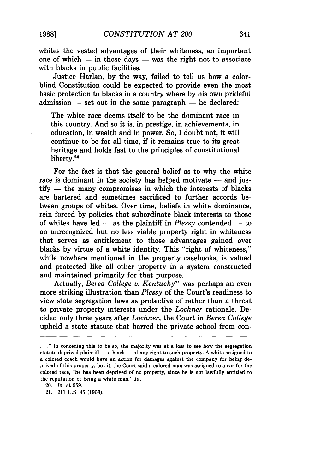whites the vested advantages of their whiteness, an important one of which  $-$  in those days  $-$  was the right not to associate with blacks in public facilities.

Justice Harlan, by the way, failed to tell us how a colorblind Constitution could be expected to provide even the most basic protection to blacks in a country where by his own prideful admission **-** set out in the same paragraph **-** he declared:

The white race deems itself to be the dominant race in this country. And so it is, in prestige, in achievements, in education, in wealth and in power. So, I doubt not, it will continue to be for all time, if it remains true to its great heritage and holds fast to the principles of constitutional liberty.<sup>20</sup>

For the fact is that the general belief as to why the white race is dominant in the society has helped motivate – and jus- $\text{tify}$  — the many compromises in which the interests of blacks are bartered and sometimes sacrificed to further accords between groups of whites. Over time, beliefs in white dominance, rein forced by policies that subordinate black interests to those of whites have led  $-$  as the plaintiff in *Plessy* contended  $-$  to an unrecognized but no less viable property right in whiteness that serves as entitlement to those advantages gained over blacks by virtue of a white identity. This "right of whiteness," while nowhere mentioned in the property casebooks, is valued and protected like all other property in a system constructed and maintained primarily for that purpose.

Actually, *Berea College v. Kentucky"* was perhaps an even more striking illustration than *Plessy* of the Court's readiness to view state segregation laws as protective of rather than a threat to private property interests under the *Lochner* rationale. Decided only three years after *Lochner,* the Court in *Berea College* upheld a state statute that barred the private school from con-

20. *Id.* at **559.**

21. 211 **U.S.** 45 **(1908).**

<sup>...&</sup>quot; In conceding this to be so, the majority was at a loss to see how the segregation statute deprived plaintiff  $-$  a black  $-$  of any right to such property. A white assigned to a colored coach would have an action for damages against the company for being deprived of this property, but if, the Court said a colored man was assigned to a car for the colored race, "he has been deprived of no property, since he is not lawfully entitled to the reputation of being a white man." *Id.*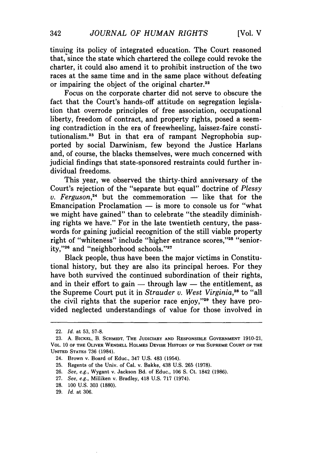tinuing its policy of integrated education. The Court reasoned that, since the state which chartered the college could revoke the charter, it could also amend it to prohibit instruction of the two races at the same time and in the same place without defeating or impairing the object of the original charter. $22$ 

Focus on the corporate charter did not serve to obscure the fact that the Court's hands-off attitude on segregation legislation that overrode principles of free association, occupational liberty, freedom of contract, and property rights, posed a seeming contradiction in the era of freewheeling, laissez-faire constitutionalism.<sup>23</sup> But in that era of rampant Negrophobia supported by social Darwinism, few beyond the Justice Harlans and, of course, the blacks themselves, were much concerned with judicial findings that state-sponsored restraints could further individual freedoms.

This year, we observed the thirty-third anniversary of the Court's rejection of the "separate but equal" doctrine of *Plessy v. Ferguson*,<sup>24</sup> but the commemoration  $-$  like that for the Emancipation Proclamation  $-$  is more to console us for "what we might have gained" than to celebrate "the steadily diminishing rights we have." For in the late twentieth century, the passwords for gaining judicial recognition of the still viable property right of "whiteness" include "higher entrance scores,"25 "seniority,"<sup>26</sup> and "neighborhood schools."<sup>27</sup>

Black people, thus have been the major victims in Constitutional history, but they are also its principal heroes. For they have both survived the continued subordination of their rights, and in their effort to gain  $-$  through law  $-$  the entitlement, as the Supreme Court put it in *Strauder v. West Virginia,2"* to "all the civil rights that the superior race enjoy," $29$  they have provided neglected understandings of value for those involved in

- **27.** *See,* e.g., Milliken v. Bradley, 418 U.S. 717 (1974).
- **28.** 100 U.S. **303** (1880).
- **29.** *Id.* **at** 306.

<sup>22.</sup> *Id.* at 53, 57-8.

<sup>23.</sup> A. **BICKEL,** B. **SCHMIDT, THE JUDICIARY AND RESPONSIBLE GOVERNMENT** 1910-21, VOL. **10** OF THE OLIVER WENDELL HOLMES DEVISE HISTORY OF **THE SUPREME COURT OF THE UNITED** STATES **736** (1984).

<sup>24.</sup> Brown v. Board **of** Educ., 347 U.S. 483 (1954).

**<sup>25.</sup>** Regents of the Univ. of Cal. v. Bakke, 438 U.S. **265 (1978).**

**<sup>26.</sup>** See, e.g., Wygant v. Jackson Bd. of Educ., 106 **S.** Ct. 1842 **(1986).**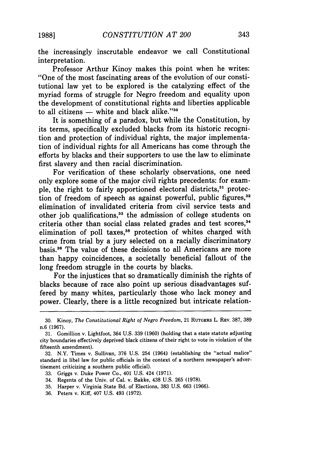the increasingly inscrutable endeavor we call Constitutional interpretation.

Professor Arthur Kinoy makes this point when he writes: "One of the most fascinating areas of the evolution of our constitutional law yet to be explored is the catalyzing effect of the myriad forms of struggle for Negro freedom and equality upon the development of constitutional rights and liberties applicable to all citizens  $-$  white and black alike." $30$ 

It is something of a paradox, but while the Constitution, by its terms, specifically excluded blacks from its historic recognition and protection of individual rights, the major implementation of individual rights for all Americans has come through the efforts by blacks and their supporters to use the law to eliminate first slavery and then racial discrimination.

For verification of these scholarly observations, one need only explore some of the major civil rights precedents: for example, the right to fairly apportioned electoral districts,<sup>31</sup> protection of freedom of speech as against powerful, public figures,<sup>32</sup> elimination of invalidated criteria from civil service tests and other job qualifications,<sup>33</sup> the admission of college students on criteria other than social class related grades and test scores,<sup>34</sup> elimination of poll taxes, $35$  protection of whites charged with crime from trial by a jury selected on a racially discriminatory basis.36 The value of these decisions to all Americans are more than happy coincidences, a societally beneficial fallout of the long freedom struggle in the courts by blacks.

For the injustices that so dramatically diminish the rights of blacks because of race also point up serious disadvantages suffered by many whites, particularly those who lack money and power. Clearly, there is a little recognized but intricate relation-

- 33. Griggs v. Duke Power Co., 401 U.S. 424 (1971).
- 34. Regents of the Univ. of Cal. v, Bakke, 438 U.S. 265 (1978).
- 35. Harper v. Virginia State Bd. of Elections, 383 U.S. 663 (1966).
- 36. Peters v. Kiff, 407 U.S. 493 (1972).

<sup>30.</sup> Kinoy, *The Constitutional Right of Negro Freedom,* 21 RUTGERS L. REV. 387, 389 n.6 (1967).

<sup>31.</sup> Gomillion v. Lightfoot, 364 U.S. 339 (1960) (holding that a state statute adjusting city boundaries effectively deprived black citizens of their right to vote in violation of the fifteenth amendment).

<sup>32.</sup> N.Y. Times v. Sullivan, 376 U.S. 254 (1964) (establishing the "actual malice" standard in libel law for public officials in the context of a northern newspaper's advertisement criticizing a southern public official).